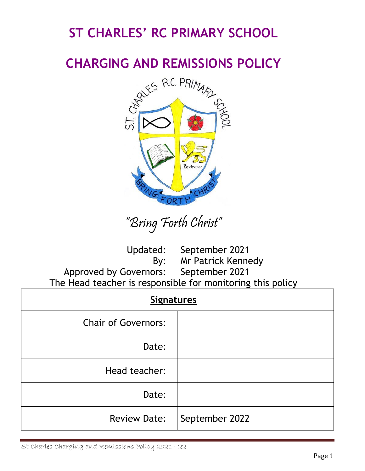# **ST CHARLES' RC PRIMARY SCHOOL**

# **CHARGING AND REMISSIONS POLICY**



"Bring Forth Christ"

Updated: September 2021 By: Mr Patrick Kennedy Approved by Governors: September 2021 The Head teacher is responsible for monitoring this policy

| <b>Signatures</b>          |                |
|----------------------------|----------------|
| <b>Chair of Governors:</b> |                |
| Date:                      |                |
| Head teacher:              |                |
| Date:                      |                |
| <b>Review Date:</b>        | September 2022 |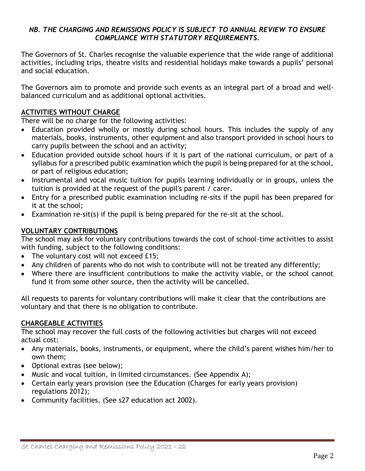#### *NB. THE CHARGING AND REMISSIONS POLICY IS SUBJECT TO ANNUAL REVIEW TO ENSURE COMPLIANCE WITH STATUTORY REQUIREMENTS.*

The Governors of St. Charles recognise the valuable experience that the wide range of additional activities, including trips, theatre visits and residential holidays make towards a pupils' personal and social education.

The Governors aim to promote and provide such events as an integral part of a broad and wellbalanced curriculum and as additional optional activities.

## **ACTIVITIES WITHOUT CHARGE**

There will be no charge for the following activities:

- Education provided wholly or mostly during school hours. This includes the supply of any materials, books, instruments, other equipment and also transport provided in school hours to carry pupils between the school and an activity;
- Education provided outside school hours if it is part of the national curriculum, or part of a syllabus for a prescribed public examination which the pupil is being prepared for at the school, or part of religious education;
- Instrumental and vocal music tuition for pupils learning individually or in groups, unless the tuition is provided at the request of the pupil's parent / carer.
- Entry for a prescribed public examination including re-sits if the pupil has been prepared for it at the school;
- Examination re-sit(s) if the pupil is being prepared for the re-sit at the school.

## **VOLUNTARY CONTRIBUTIONS**

The school may ask for voluntary contributions towards the cost of school-time activities to assist with funding, subject to the following conditions:

- The voluntary cost will not exceed £15;
- Any children of parents who do not wish to contribute will not be treated any differently;
- Where there are insufficient contributions to make the activity viable, or the school cannot fund it from some other source, then the activity will be cancelled.

All requests to parents for voluntary contributions will make it clear that the contributions are voluntary and that there is no obligation to contribute.

## **CHARGEABLE ACTIVITIES**

The school may recover the full costs of the following activities but charges will not exceed actual cost:

- Any materials, books, instruments, or equipment, where the child's parent wishes him/her to own them;
- Optional extras (see below);
- Music and vocal tuition, in limited circumstances. (See Appendix A);
- Certain early years provision (see the Education (Charges for early years provision) regulations 2012);
- Community facilities. (See s27 education act 2002).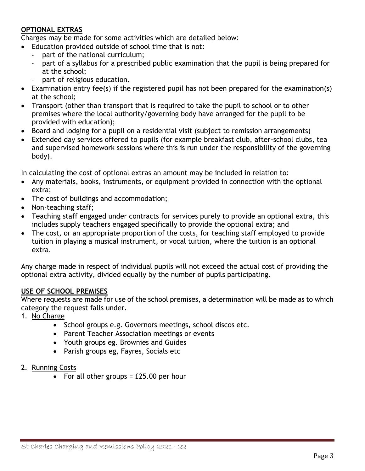#### **OPTIONAL EXTRAS**

Charges may be made for some activities which are detailed below:

- Education provided outside of school time that is not:
	- part of the national curriculum;
	- part of a syllabus for a prescribed public examination that the pupil is being prepared for at the school;
	- part of religious education.
- Examination entry fee(s) if the registered pupil has not been prepared for the examination(s) at the school;
- Transport (other than transport that is required to take the pupil to school or to other premises where the local authority/governing body have arranged for the pupil to be provided with education);
- Board and lodging for a pupil on a residential visit (subject to remission arrangements)
- Extended day services offered to pupils (for example breakfast club, after-school clubs, tea and supervised homework sessions where this is run under the responsibility of the governing body).

In calculating the cost of optional extras an amount may be included in relation to:

- Any materials, books, instruments, or equipment provided in connection with the optional extra;
- The cost of buildings and accommodation;
- Non-teaching staff;
- Teaching staff engaged under contracts for services purely to provide an optional extra, this includes supply teachers engaged specifically to provide the optional extra; and
- The cost, or an appropriate proportion of the costs, for teaching staff employed to provide tuition in playing a musical instrument, or vocal tuition, where the tuition is an optional extra.

Any charge made in respect of individual pupils will not exceed the actual cost of providing the optional extra activity, divided equally by the number of pupils participating.

#### **USE OF SCHOOL PREMISES**

Where requests are made for use of the school premises, a determination will be made as to which category the request falls under.

- 1. No Charge
	- School groups e.g. Governors meetings, school discos etc.
	- Parent Teacher Association meetings or events
	- Youth groups eg. Brownies and Guides
	- Parish groups eg, Fayres, Socials etc
- 2. Running Costs
	- For all other groups  $=$  £25.00 per hour